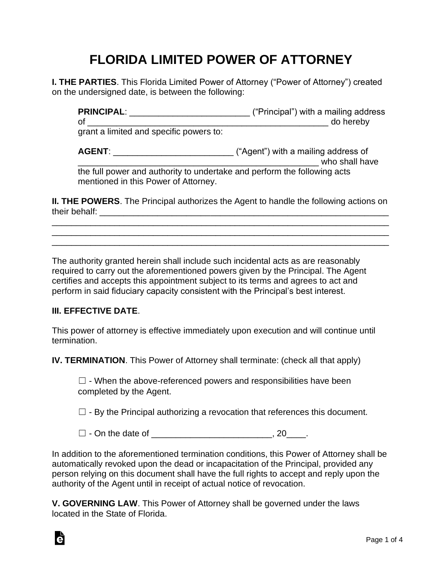## **FLORIDA LIMITED POWER OF ATTORNEY**

**I. THE PARTIES**. This Florida Limited Power of Attorney ("Power of Attorney") created on the undersigned date, is between the following:

**PRINCIPAL**: \_\_\_\_\_\_\_\_\_\_\_\_\_\_\_\_\_\_\_\_\_\_\_\_\_ ("Principal") with a mailing address of \_\_\_\_\_\_\_\_\_\_\_\_\_\_\_\_\_\_\_\_\_\_\_\_\_\_\_\_\_\_\_\_\_\_\_\_\_\_\_\_\_\_\_\_\_\_\_\_\_\_ do hereby grant a limited and specific powers to: **AGENT:**  $($ <sup>"</sup>Agent") with a mailing address of who shall have the full power and authority to undertake and perform the following acts mentioned in this Power of Attorney.

**II. THE POWERS**. The Principal authorizes the Agent to handle the following actions on their behalf: \_\_\_\_\_\_\_\_\_\_\_\_\_\_\_\_\_\_\_\_\_\_\_\_\_\_\_\_\_\_\_\_\_\_\_\_\_\_\_\_\_\_\_\_\_\_\_\_\_\_\_\_\_\_\_\_\_\_\_\_

\_\_\_\_\_\_\_\_\_\_\_\_\_\_\_\_\_\_\_\_\_\_\_\_\_\_\_\_\_\_\_\_\_\_\_\_\_\_\_\_\_\_\_\_\_\_\_\_\_\_\_\_\_\_\_\_\_\_\_\_\_\_\_\_\_\_\_\_\_\_ \_\_\_\_\_\_\_\_\_\_\_\_\_\_\_\_\_\_\_\_\_\_\_\_\_\_\_\_\_\_\_\_\_\_\_\_\_\_\_\_\_\_\_\_\_\_\_\_\_\_\_\_\_\_\_\_\_\_\_\_\_\_\_\_\_\_\_\_\_\_ \_\_\_\_\_\_\_\_\_\_\_\_\_\_\_\_\_\_\_\_\_\_\_\_\_\_\_\_\_\_\_\_\_\_\_\_\_\_\_\_\_\_\_\_\_\_\_\_\_\_\_\_\_\_\_\_\_\_\_\_\_\_\_\_\_\_\_\_\_\_

The authority granted herein shall include such incidental acts as are reasonably required to carry out the aforementioned powers given by the Principal. The Agent certifies and accepts this appointment subject to its terms and agrees to act and perform in said fiduciary capacity consistent with the Principal's best interest.

## **III. EFFECTIVE DATE**.

à

This power of attorney is effective immediately upon execution and will continue until termination.

**IV. TERMINATION**. This Power of Attorney shall terminate: (check all that apply)

 $\Box$  - When the above-referenced powers and responsibilities have been completed by the Agent.

 $\Box$  - By the Principal authorizing a revocation that references this document.

 $\Box$  - On the date of  $\Box$  - On the date of

In addition to the aforementioned termination conditions, this Power of Attorney shall be automatically revoked upon the dead or incapacitation of the Principal, provided any person relying on this document shall have the full rights to accept and reply upon the authority of the Agent until in receipt of actual notice of revocation.

**V. GOVERNING LAW**. This Power of Attorney shall be governed under the laws located in the State of Florida.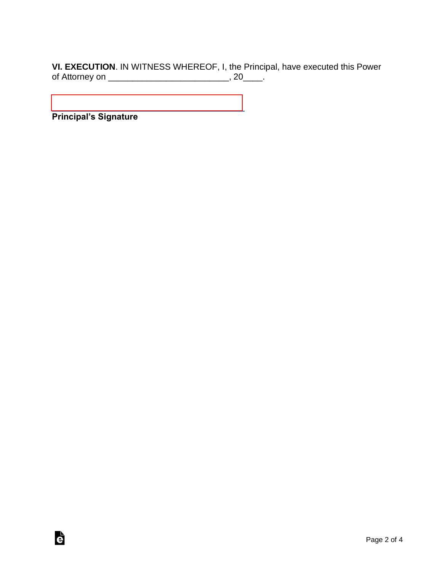**VI. EXECUTION**. IN WITNESS WHEREOF, I, the Principal, have executed this Power of Attorney on \_\_\_\_\_\_\_\_\_\_\_\_\_\_\_\_\_\_\_\_\_\_\_\_\_\_\_\_\_\_\_\_, 20\_\_\_\_.

**Principal's Signature**

è

[\\_\\_\\_\\_\\_\\_\\_\\_\\_\\_\\_\\_\\_\\_\\_\\_\\_\\_\\_\\_\\_\\_\\_\\_\\_\\_\\_\\_\\_\\_\\_\\_\\_\\_\\_\\_\\_\\_\\_\\_](https://esign.com)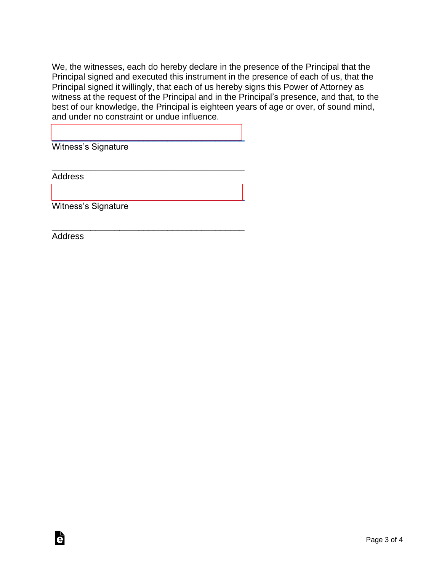We, the witnesses, each do hereby declare in the presence of the Principal that the Principal signed and executed this instrument in the presence of each of us, that the Principal signed it willingly, that each of us hereby signs this Power of Attorney as witness at the request of the Principal and in the Principal's presence, and that, to the best of our knowledge, the Principal is eighteen years of age or over, of sound mind, and under no constraint or undue influence.

Witness's Signature

[\\_\\_\\_\\_\\_\\_\\_\\_\\_\\_\\_\\_\\_\\_\\_\\_\\_\\_\\_\\_\\_\\_\\_\\_\\_\\_\\_\\_\\_\\_\\_\\_\\_\\_\\_\\_\\_\\_\\_\\_](https://esign.com)

\_\_\_\_\_\_\_\_\_\_\_\_\_\_\_\_\_\_\_\_\_\_\_\_\_\_\_\_\_\_\_\_\_\_\_\_\_\_\_\_

[\\_\\_\\_\\_\\_\\_\\_\\_\\_\\_\\_\\_\\_\\_\\_\\_\\_\\_\\_\\_\\_\\_\\_\\_\\_\\_\\_\\_\\_\\_\\_\\_\\_\\_\\_\\_\\_\\_\\_\\_](https://esign.com)

\_\_\_\_\_\_\_\_\_\_\_\_\_\_\_\_\_\_\_\_\_\_\_\_\_\_\_\_\_\_\_\_\_\_\_\_\_\_\_\_

**Address** 

Witness's Signature

Address